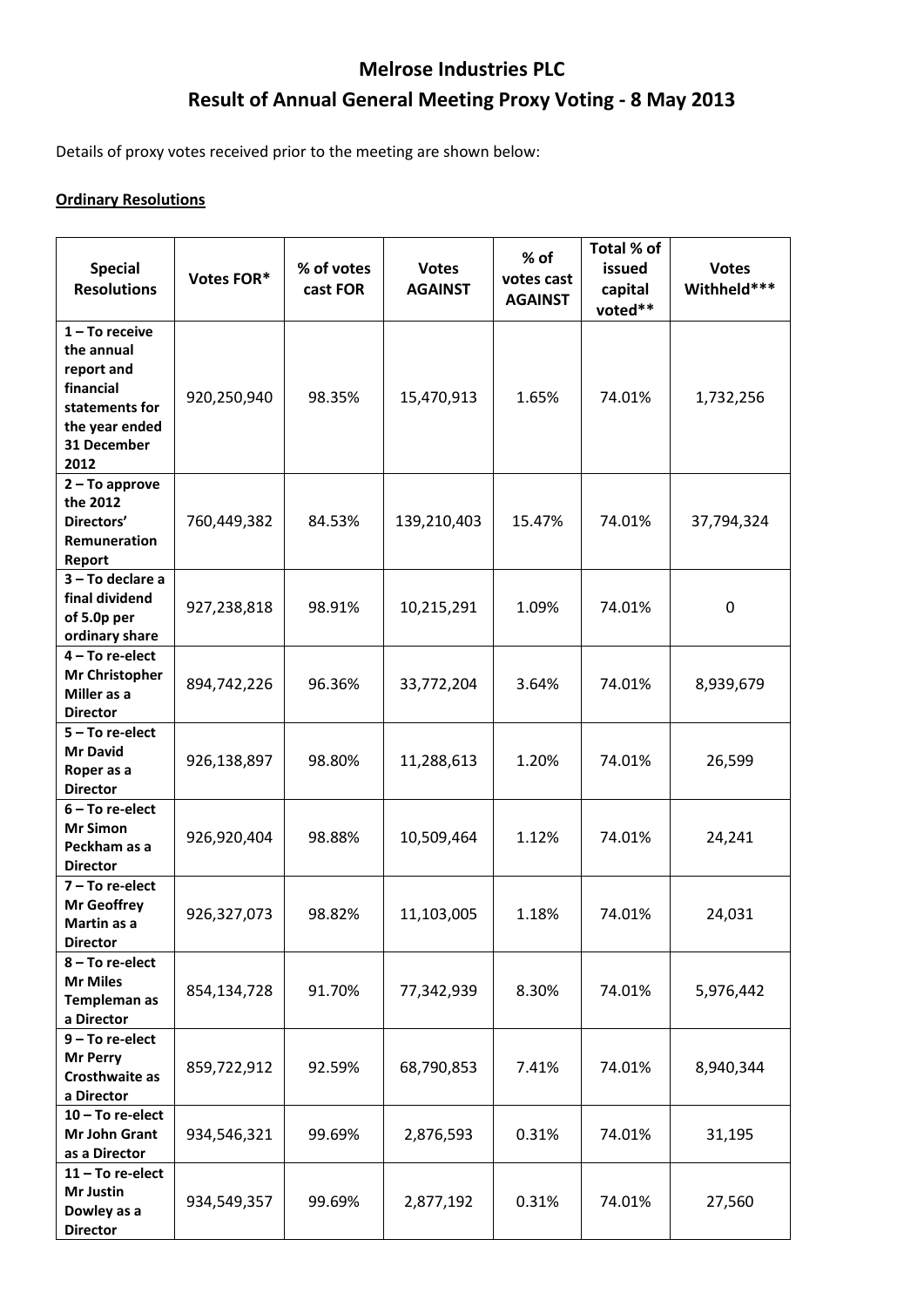## **Melrose Industries PLC Result of Annual General Meeting Proxy Voting - 8 May 2013**

Details of proxy votes received prior to the meeting are shown below:

## **Ordinary Resolutions**

| <b>Special</b><br><b>Resolutions</b>                                                                                 | Votes FOR*  | % of votes<br>cast FOR | <b>Votes</b><br><b>AGAINST</b> | $%$ of<br>votes cast<br><b>AGAINST</b> | Total % of<br>issued<br>capital<br>voted** | <b>Votes</b><br>Withheld*** |
|----------------------------------------------------------------------------------------------------------------------|-------------|------------------------|--------------------------------|----------------------------------------|--------------------------------------------|-----------------------------|
| $1 - To receive$<br>the annual<br>report and<br>financial<br>statements for<br>the year ended<br>31 December<br>2012 | 920,250,940 | 98.35%                 | 15,470,913                     | 1.65%                                  | 74.01%                                     | 1,732,256                   |
| $2 - To$ approve<br>the 2012<br>Directors'<br>Remuneration<br>Report                                                 | 760,449,382 | 84.53%                 | 139,210,403                    | 15.47%                                 | 74.01%                                     | 37,794,324                  |
| 3-To declare a<br>final dividend<br>of 5.0p per<br>ordinary share                                                    | 927,238,818 | 98.91%                 | 10,215,291                     | 1.09%                                  | 74.01%                                     | 0                           |
| 4 - To re-elect<br><b>Mr Christopher</b><br>Miller as a<br><b>Director</b>                                           | 894,742,226 | 96.36%                 | 33,772,204                     | 3.64%                                  | 74.01%                                     | 8,939,679                   |
| $5 - To re-elect$<br><b>Mr David</b><br>Roper as a<br><b>Director</b>                                                | 926,138,897 | 98.80%                 | 11,288,613                     | 1.20%                                  | 74.01%                                     | 26,599                      |
| $6 - To re-elect$<br><b>Mr Simon</b><br>Peckham as a<br><b>Director</b>                                              | 926,920,404 | 98.88%                 | 10,509,464                     | 1.12%                                  | 74.01%                                     | 24,241                      |
| $7 - To re-elect$<br><b>Mr Geoffrey</b><br>Martin as a<br><b>Director</b>                                            | 926,327,073 | 98.82%                 | 11,103,005                     | 1.18%                                  | 74.01%                                     | 24,031                      |
| 8-To re-elect<br><b>Mr Miles</b><br>Templeman as<br>a Director                                                       | 854,134,728 | 91.70%                 | 77,342,939                     | 8.30%                                  | 74.01%                                     | 5,976,442                   |
| 9 - To re-elect<br><b>Mr Perry</b><br>Crosthwaite as<br>a Director                                                   | 859,722,912 | 92.59%                 | 68,790,853                     | 7.41%                                  | 74.01%                                     | 8,940,344                   |
| $10$ – To re-elect<br>Mr John Grant<br>as a Director                                                                 | 934,546,321 | 99.69%                 | 2,876,593                      | 0.31%                                  | 74.01%                                     | 31,195                      |
| $11 - To re-elect$<br>Mr Justin<br>Dowley as a<br><b>Director</b>                                                    | 934,549,357 | 99.69%                 | 2,877,192                      | 0.31%                                  | 74.01%                                     | 27,560                      |